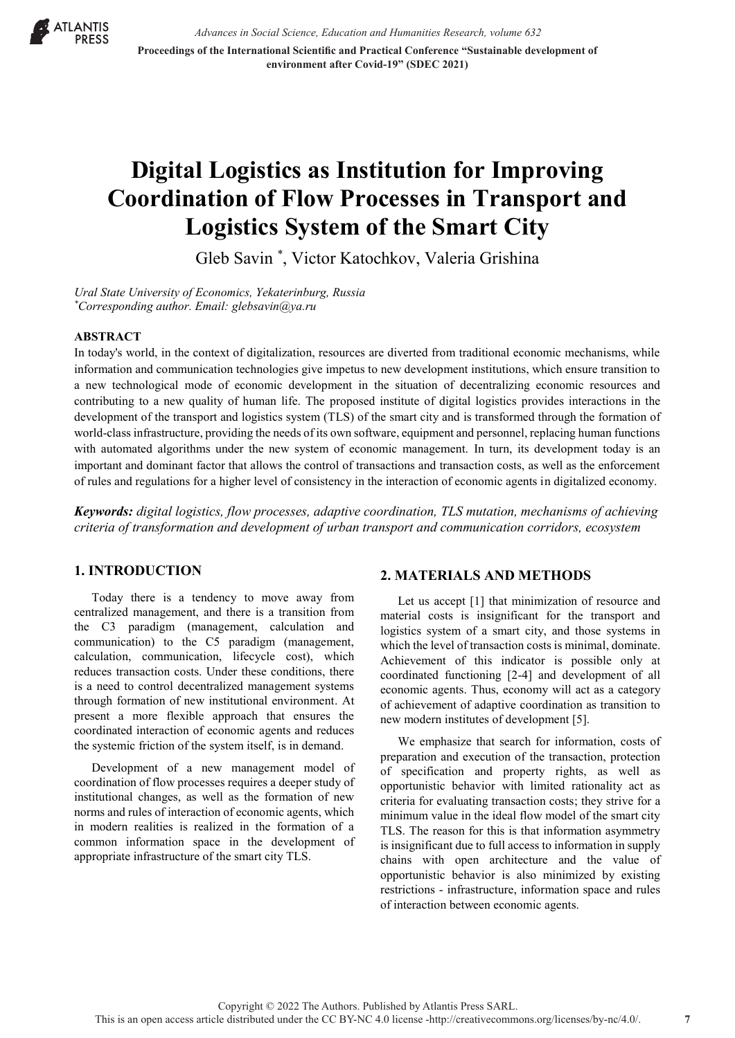

*Advances in Social Science, Education and Humanities Research, volume 632* **Proceedings of the International Scientific and Practical Conference "Sustainable development of environment after Covid-19" (SDEC 2021)**

# **Digital Logistics as Institution for Improving Coordination of Flow Processes in Transport and Logistics System of the Smart City**

Gleb Savin \* , Victor Katochkov, Valeria Grishina

*Ural State University of Economics, Yekaterinburg, Russia \* Corresponding author. Email: glebsavin@ya.ru*

#### **ABSTRACT**

In today's world, in the context of digitalization, resources are diverted from traditional economic mechanisms, while information and communication technologies give impetus to new development institutions, which ensure transition to a new technological mode of economic development in the situation of decentralizing economic resources and contributing to a new quality of human life. The proposed institute of digital logistics provides interactions in the development of the transport and logistics system (TLS) of the smart city and is transformed through the formation of world-class infrastructure, providing the needs of its own software, equipment and personnel, replacing human functions with automated algorithms under the new system of economic management. In turn, its development today is an important and dominant factor that allows the control of transactions and transaction costs, as well as the enforcement of rules and regulations for a higher level of consistency in the interaction of economic agents in digitalized economy.

*Keywords: digital logistics, flow processes, adaptive coordination, TLS mutation, mechanisms of achieving criteria of transformation and development of urban transport and communication corridors, ecosystem* 

## **1. INTRODUCTION**

Today there is a tendency to move away from centralized management, and there is a transition from the C3 paradigm (management, calculation and communication) to the C5 paradigm (management, calculation, communication, lifecycle cost), which reduces transaction costs. Under these conditions, there is a need to control decentralized management systems through formation of new institutional environment. At present a more flexible approach that ensures the coordinated interaction of economic agents and reduces the systemic friction of the system itself, is in demand.

Development of a new management model of coordination of flow processes requires a deeper study of institutional changes, as well as the formation of new norms and rules of interaction of economic agents, which in modern realities is realized in the formation of a common information space in the development of appropriate infrastructure of the smart city TLS.

#### **2. MATERIALS AND METHODS**

Let us accept [1] that minimization of resource and material costs is insignificant for the transport and logistics system of a smart city, and those systems in which the level of transaction costs is minimal, dominate. Achievement of this indicator is possible only at coordinated functioning [2-4] and development of all economic agents. Thus, economy will act as a category of achievement of adaptive coordination as transition to new modern institutes of development [5].

We emphasize that search for information, costs of preparation and execution of the transaction, protection of specification and property rights, as well as opportunistic behavior with limited rationality act as criteria for evaluating transaction costs; they strive for a minimum value in the ideal flow model of the smart city TLS. The reason for this is that information asymmetry is insignificant due to full access to information in supply chains with open architecture and the value of opportunistic behavior is also minimized by existing restrictions - infrastructure, information space and rules of interaction between economic agents.

**7**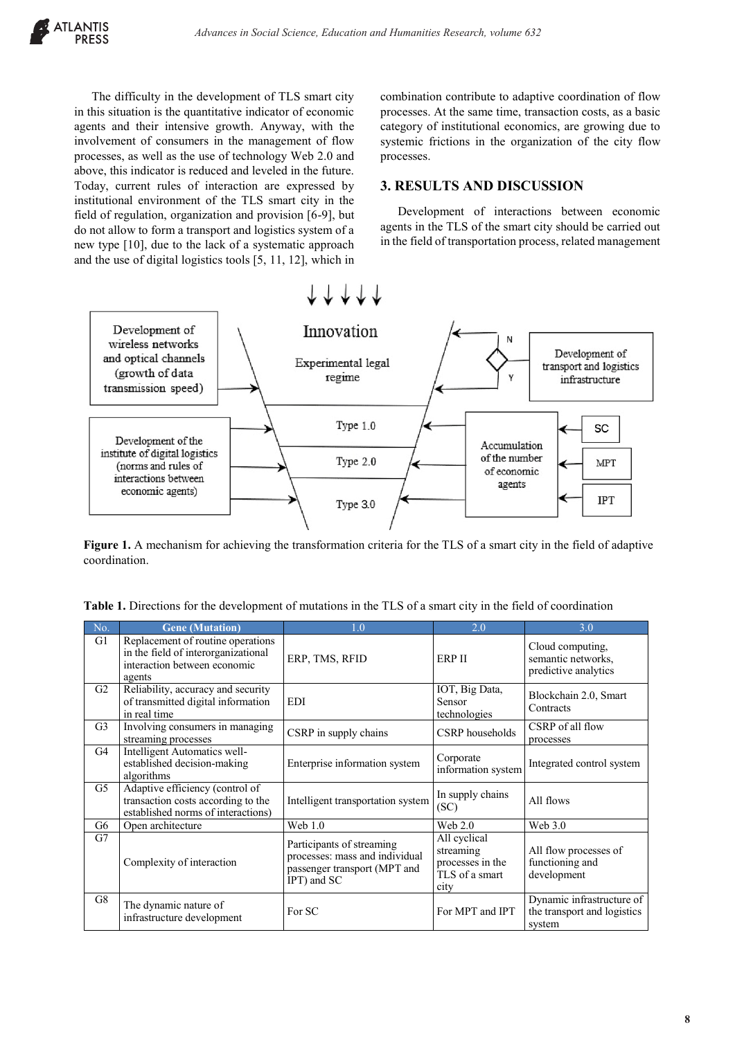The difficulty in the development of TLS smart city in this situation is the quantitative indicator of economic agents and their intensive growth. Anyway, with the involvement of consumers in the management of flow processes, as well as the use of technology Web 2.0 and above, this indicator is reduced and leveled in the future. Today, current rules of interaction are expressed by institutional environment of the TLS smart city in the field of regulation, organization and provision [6-9], but do not allow to form a transport and logistics system of a new type [10], due to the lack of a systematic approach and the use of digital logistics tools [5, 11, 12], which in combination contribute to adaptive coordination of flow processes. At the same time, transaction costs, as a basic category of institutional economics, are growing due to systemic frictions in the organization of the city flow processes.

## **3. RESULTS AND DISCUSSION**

Development of interactions between economic agents in the TLS of the smart city should be carried out in the field of transportation process, related management



**Figure 1.** A mechanism for achieving the transformation criteria for the TLS of a smart city in the field of adaptive coordination.

| No.            | <b>Gene (Mutation)</b>                                                                                             | 1.0                                                                                                        | 2.0                                                                     | 3.0                                                                |
|----------------|--------------------------------------------------------------------------------------------------------------------|------------------------------------------------------------------------------------------------------------|-------------------------------------------------------------------------|--------------------------------------------------------------------|
| G1             | Replacement of routine operations<br>in the field of interorganizational<br>interaction between economic<br>agents | ERP, TMS, RFID                                                                                             | <b>ERP II</b>                                                           | Cloud computing,<br>semantic networks,<br>predictive analytics     |
| G2             | Reliability, accuracy and security<br>of transmitted digital information<br>in real time                           | <b>EDI</b>                                                                                                 | IOT, Big Data,<br>Sensor<br>technologies                                | Blockchain 2.0, Smart<br>Contracts                                 |
| G <sub>3</sub> | Involving consumers in managing<br>streaming processes                                                             | CSRP in supply chains                                                                                      | CSRP households                                                         | CSRP of all flow<br>processes                                      |
| G4             | Intelligent Automatics well-<br>established decision-making<br>algorithms                                          | Enterprise information system                                                                              | Corporate<br>information system                                         | Integrated control system                                          |
| G5             | Adaptive efficiency (control of<br>transaction costs according to the<br>established norms of interactions)        | Intelligent transportation system                                                                          | In supply chains<br>(SC)                                                | All flows                                                          |
| G6             | Open architecture                                                                                                  | Web $1.0$                                                                                                  | Web 2.0                                                                 | Web 3.0                                                            |
| G7             | Complexity of interaction                                                                                          | Participants of streaming<br>processes: mass and individual<br>passenger transport (MPT and<br>IPT) and SC | All cyclical<br>streaming<br>processes in the<br>TLS of a smart<br>city | All flow processes of<br>functioning and<br>development            |
| G8             | The dynamic nature of<br>infrastructure development                                                                | For SC                                                                                                     | For MPT and IPT                                                         | Dynamic infrastructure of<br>the transport and logistics<br>system |

**Table 1.** Directions for the development of mutations in the TLS of a smart city in the field of coordination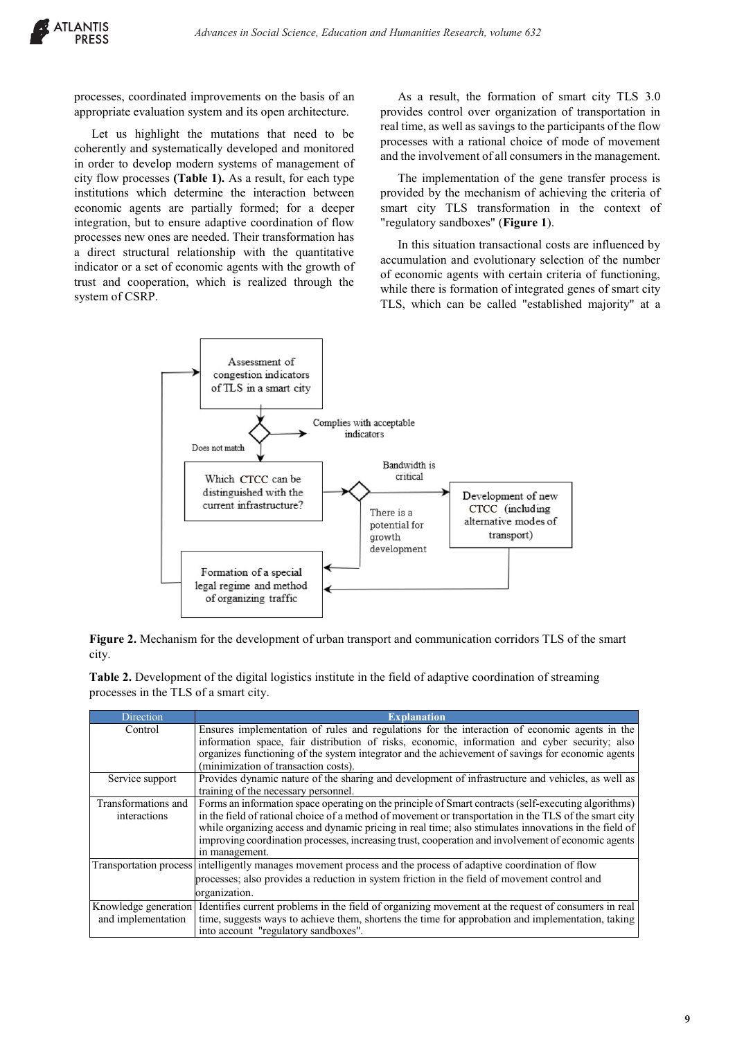processes, coordinated improvements on the basis of an appropriate evaluation system and its open architecture.

Let us highlight the mutations that need to be coherently and systematically developed and monitored in order to develop modern systems of management of city flow processes **(Table 1).** As a result, for each type institutions which determine the interaction between economic agents are partially formed; for a deeper integration, but to ensure adaptive coordination of flow processes new ones are needed. Their transformation has a direct structural relationship with the quantitative indicator or a set of economic agents with the growth of trust and cooperation, which is realized through the system of CSRP.

As a result, the formation of smart city TLS 3.0 provides control over organization of transportation in real time, as well as savings to the participants of the flow processes with a rational choice of mode of movement and the involvement of all consumers in the management.

The implementation of the gene transfer process is provided by the mechanism of achieving the criteria of smart city TLS transformation in the context of "regulatory sandboxes" (**Figure 1**).

In this situation transactional costs are influenced by accumulation and evolutionary selection of the number of economic agents with certain criteria of functioning, while there is formation of integrated genes of smart city TLS, which can be called "established majority" at a



**Figure 2.** Mechanism for the development of urban transport and communication corridors TLS of the smart city.

| Direction           | <b>Explanation</b>                                                                                                         |
|---------------------|----------------------------------------------------------------------------------------------------------------------------|
| Control             | Ensures implementation of rules and regulations for the interaction of economic agents in the                              |
|                     | information space, fair distribution of risks, economic, information and cyber security; also                              |
|                     | organizes functioning of the system integrator and the achievement of savings for economic agents                          |
|                     | (minimization of transaction costs).                                                                                       |
| Service support     | Provides dynamic nature of the sharing and development of infrastructure and vehicles, as well as                          |
|                     | training of the necessary personnel.                                                                                       |
| Transformations and | Forms an information space operating on the principle of Smart contracts (self-executing algorithms)                       |
| interactions        | in the field of rational choice of a method of movement or transportation in the TLS of the smart city                     |
|                     | while organizing access and dynamic pricing in real time; also stimulates innovations in the field of                      |
|                     | improving coordination processes, increasing trust, cooperation and involvement of economic agents                         |
|                     | in management.                                                                                                             |
|                     | Transportation process intelligently manages movement process and the process of adaptive coordination of flow             |
|                     | processes; also provides a reduction in system friction in the field of movement control and                               |
|                     | organization.                                                                                                              |
|                     | Knowledge generation I Identifies current problems in the field of organizing movement at the request of consumers in real |
| and implementation  | time, suggests ways to achieve them, shortens the time for approbation and implementation, taking                          |
|                     | into account "regulatory sandboxes".                                                                                       |

**Table 2.** Development of the digital logistics institute in the field of adaptive coordination of streaming processes in the TLS of a smart city.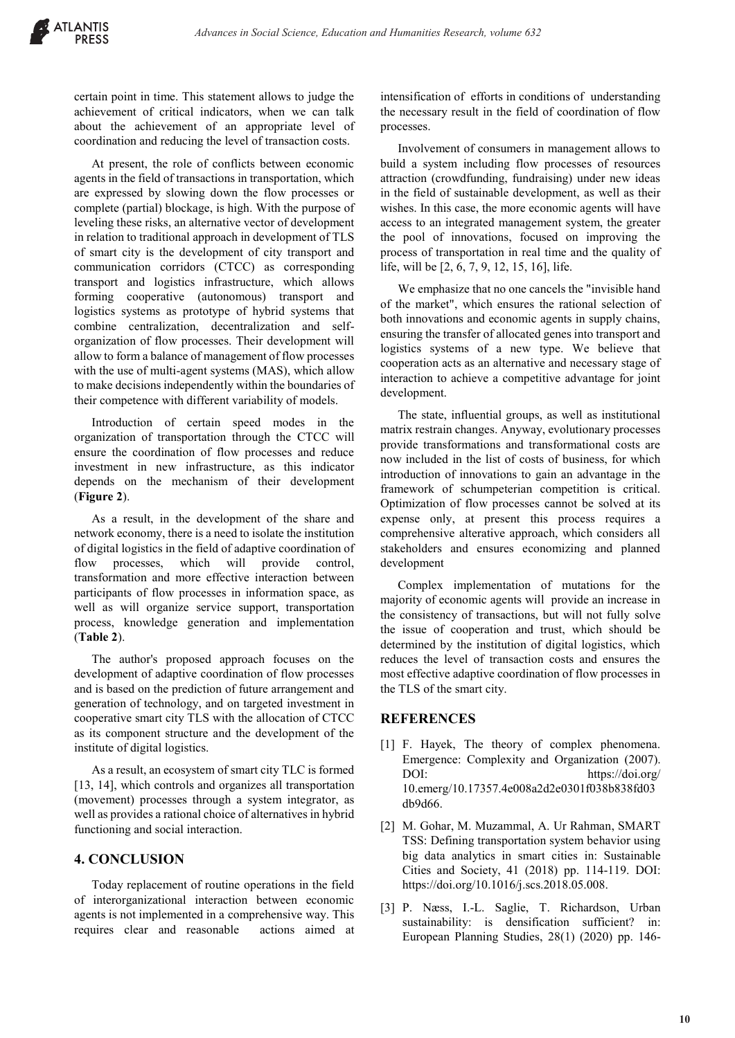certain point in time. This statement allows to judge the achievement of critical indicators, when we can talk about the achievement of an appropriate level of coordination and reducing the level of transaction costs.

At present, the role of conflicts between economic agents in the field of transactions in transportation, which are expressed by slowing down the flow processes or complete (partial) blockage, is high. With the purpose of leveling these risks, an alternative vector of development in relation to traditional approach in development of TLS of smart city is the development of city transport and communication corridors (CTCC) as corresponding transport and logistics infrastructure, which allows forming cooperative (autonomous) transport and logistics systems as prototype of hybrid systems that combine centralization, decentralization and selforganization of flow processes. Their development will allow to form a balance of management of flow processes with the use of multi-agent systems (MAS), which allow to make decisions independently within the boundaries of their competence with different variability of models.

Introduction of certain speed modes in the organization of transportation through the CTCC will ensure the coordination of flow processes and reduce investment in new infrastructure, as this indicator depends on the mechanism of their development (**Figure 2**).

As a result, in the development of the share and network economy, there is a need to isolate the institution of digital logistics in the field of adaptive coordination of flow processes, which will provide control, transformation and more effective interaction between participants of flow processes in information space, as well as will organize service support, transportation process, knowledge generation and implementation (**Table 2**).

The author's proposed approach focuses on the development of adaptive coordination of flow processes and is based on the prediction of future arrangement and generation of technology, and on targeted investment in cooperative smart city TLS with the allocation of CTCC as its component structure and the development of the institute of digital logistics.

As a result, an ecosystem of smart city TLC is formed [13, 14], which controls and organizes all transportation (movement) processes through a system integrator, as well as provides a rational choice of alternatives in hybrid functioning and social interaction.

# **4. CONCLUSION**

Today replacement of routine operations in the field of interorganizational interaction between economic agents is not implemented in a comprehensive way. This requires clear and reasonable actions aimed at intensification of efforts in conditions of understanding the necessary result in the field of coordination of flow processes.

Involvement of consumers in management allows to build a system including flow processes of resources attraction (crowdfunding, fundraising) under new ideas in the field of sustainable development, as well as their wishes. In this case, the more economic agents will have access to an integrated management system, the greater the pool of innovations, focused on improving the process of transportation in real time and the quality of life, will be [2, 6, 7, 9, 12, 15, 16], life.

We emphasize that no one cancels the "invisible hand of the market", which ensures the rational selection of both innovations and economic agents in supply chains, ensuring the transfer of allocated genes into transport and logistics systems of a new type. We believe that cooperation acts as an alternative and necessary stage of interaction to achieve a competitive advantage for joint development.

The state, influential groups, as well as institutional matrix restrain changes. Anyway, evolutionary processes provide transformations and transformational costs are now included in the list of costs of business, for which introduction of innovations to gain an advantage in the framework of schumpeterian competition is critical. Optimization of flow processes cannot be solved at its expense only, at present this process requires a comprehensive alterative approach, which considers all stakeholders and ensures economizing and planned development

Complex implementation of mutations for the majority of economic agents will provide an increase in the consistency of transactions, but will not fully solve the issue of cooperation and trust, which should be determined by the institution of digital logistics, which reduces the level of transaction costs and ensures the most effective adaptive coordination of flow processes in the TLS of the smart city.

#### **REFERENCES**

- [1] F. Hayek, The theory of complex phenomena. Emergence: Complexity and Organization (2007). DOI: https://doi.org/ 10.emerg/10.17357.4e008a2d2e0301f038b838fd03 db9d66.
- [2] M. Gohar, M. Muzammal, A. Ur Rahman, SMART TSS: Defining transportation system behavior using big data analytics in smart cities in: Sustainable Cities and Society, 41 (2018) pp. 114-119. DOI: https://doi.org/10.1016/j.scs.2018.05.008.
- [3] P. Næss, I.-L. Saglie, T. Richardson, Urban sustainability: is densification sufficient? in: European Planning Studies, 28(1) (2020) pp. 146-